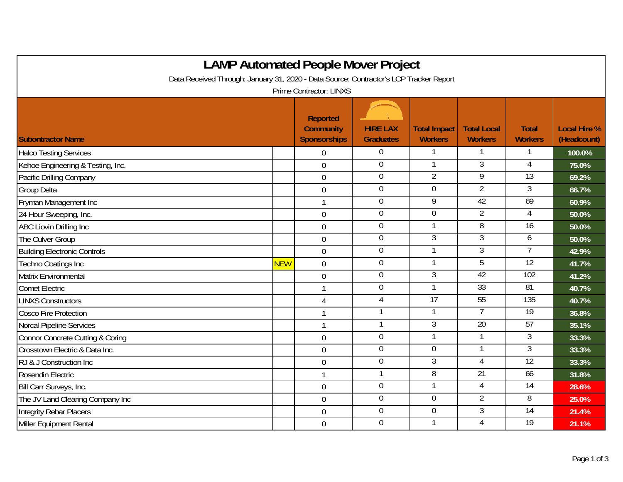| <b>LAMP Automated People Mover Project</b><br>Data Received Through: January 31, 2020 - Data Source: Contractor's LCP Tracker Report<br>Prime Contractor: LINXS |            |                  |                  |                |                 |                 |        |  |
|-----------------------------------------------------------------------------------------------------------------------------------------------------------------|------------|------------------|------------------|----------------|-----------------|-----------------|--------|--|
|                                                                                                                                                                 |            |                  |                  |                |                 |                 |        |  |
| <b>Halco Testing Services</b>                                                                                                                                   |            | $\Omega$         | $\overline{0}$   |                |                 |                 | 100.0% |  |
| Kehoe Engineering & Testing, Inc.                                                                                                                               |            | $\mathbf 0$      | $\mathbf 0$      | $\mathbf{1}$   | $\overline{3}$  | $\overline{4}$  | 75.0%  |  |
| Pacific Drilling Company                                                                                                                                        |            | $\mathbf 0$      | $\boldsymbol{0}$ | $\overline{2}$ | $\overline{9}$  | $\overline{13}$ | 69.2%  |  |
| <b>Group Delta</b>                                                                                                                                              |            | $\overline{0}$   | $\overline{0}$   | $\overline{0}$ | $\overline{2}$  | $\overline{3}$  | 66.7%  |  |
| Fryman Management Inc                                                                                                                                           |            |                  | $\mathbf 0$      | 9              | 42              | 69              | 60.9%  |  |
| 24 Hour Sweeping, Inc.                                                                                                                                          |            | $\mathbf 0$      | $\mathbf 0$      | $\mathbf 0$    | $\overline{2}$  | 4               | 50.0%  |  |
| ABC Liovin Drilling Inc                                                                                                                                         |            | $\boldsymbol{0}$ | $\boldsymbol{0}$ |                | $\overline{8}$  | $\overline{16}$ | 50.0%  |  |
| The Culver Group                                                                                                                                                |            | $\mathbf 0$      | $\boldsymbol{0}$ | $\mathfrak{Z}$ | 3               | 6               | 50.0%  |  |
| <b>Building Electronic Controls</b>                                                                                                                             |            | $\mathbf 0$      | $\overline{0}$   | $\mathbf{1}$   | 3               | $\overline{7}$  | 42.9%  |  |
| Techno Coatings Inc                                                                                                                                             | <b>NEW</b> | $\overline{0}$   | $\boldsymbol{0}$ |                | 5               | $\overline{12}$ | 41.7%  |  |
| Matrix Environmental                                                                                                                                            |            | $\overline{0}$   | $\overline{0}$   | $\overline{3}$ | 42              | 102             | 41.2%  |  |
| <b>Comet Electric</b>                                                                                                                                           |            | $\mathbf 1$      | $\boldsymbol{0}$ |                | 33              | 81              | 40.7%  |  |
| <b>LINXS Constructors</b>                                                                                                                                       |            | 4                | $\overline{4}$   | 17             | 55              | 135             | 40.7%  |  |
| <b>Cosco Fire Protection</b>                                                                                                                                    |            | $\mathbf{1}$     |                  |                | 7               | 19              | 36.8%  |  |
| Norcal Pipeline Services                                                                                                                                        |            | $\mathbf{1}$     | 1                | 3              | $\overline{20}$ | 57              | 35.1%  |  |
| Connor Concrete Cutting & Coring                                                                                                                                |            | $\overline{0}$   | $\overline{0}$   |                |                 | $\overline{3}$  | 33.3%  |  |
| Crosstown Electric & Data Inc.                                                                                                                                  |            | $\mathbf 0$      | $\boldsymbol{0}$ | $\mathbf 0$    | $\mathbf 1$     | 3               | 33.3%  |  |
| RJ & J Construction Inc                                                                                                                                         |            | $\mathbf 0$      | $\boldsymbol{0}$ | $\overline{3}$ | 4               | 12              | 33.3%  |  |
| Rosendin Electric                                                                                                                                               |            | $\mathbf{1}$     | 1                | 8              | $\overline{21}$ | 66              | 31.8%  |  |
| Bill Carr Surveys, Inc.                                                                                                                                         |            | $\overline{0}$   | $\overline{0}$   | 1              | 4               | 14              | 28.6%  |  |
| The JV Land Clearing Company Inc                                                                                                                                |            | $\mathbf 0$      | $\boldsymbol{0}$ | $\overline{0}$ | $\overline{2}$  | 8               | 25.0%  |  |
| Integrity Rebar Placers                                                                                                                                         |            | $\overline{0}$   | $\overline{0}$   | $\overline{0}$ | $\overline{3}$  | 14              | 21.4%  |  |
| Miller Equipment Rental                                                                                                                                         |            | $\overline{0}$   | $\mathbf 0$      |                | 4               | 19              | 21.1%  |  |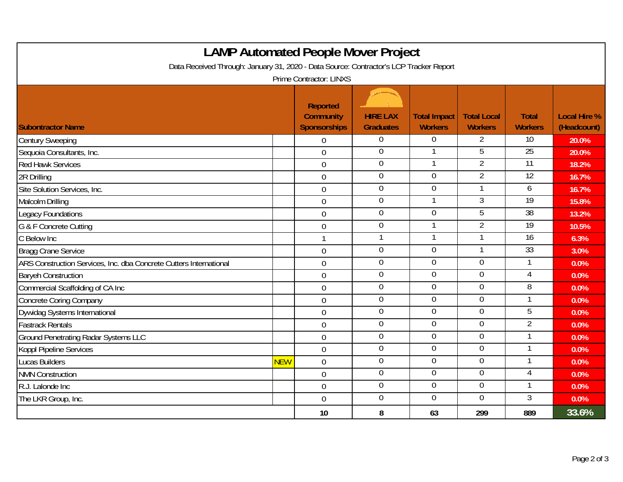| <b>LAMP Automated People Mover Project</b><br>Data Received Through: January 31, 2020 - Data Source: Contractor's LCP Tracker Report<br><b>Prime Contractor: LINXS</b> |            |                  |                  |                |                |                 |       |  |
|------------------------------------------------------------------------------------------------------------------------------------------------------------------------|------------|------------------|------------------|----------------|----------------|-----------------|-------|--|
|                                                                                                                                                                        |            |                  |                  |                |                |                 |       |  |
| <b>Century Sweeping</b>                                                                                                                                                |            | $\overline{0}$   | $\overline{0}$   | $\overline{0}$ | $\overline{2}$ | 10              | 20.0% |  |
| Sequoia Consultants, Inc.                                                                                                                                              |            | $\overline{0}$   | $\overline{0}$   |                | 5              | 25              | 20.0% |  |
| <b>Red Hawk Services</b>                                                                                                                                               |            | $\overline{0}$   | $\overline{0}$   |                | $\overline{2}$ | 11              | 18.2% |  |
| 2R Drilling                                                                                                                                                            |            | $\mathbf 0$      | $\boldsymbol{0}$ | $\overline{0}$ | 2              | $\overline{12}$ | 16.7% |  |
| Site Solution Services, Inc.                                                                                                                                           |            | $\overline{0}$   | $\mathbf 0$      | $\overline{0}$ |                | 6               | 16.7% |  |
| Malcolm Drilling                                                                                                                                                       |            | $\overline{0}$   | $\pmb{0}$        |                | 3              | $\overline{19}$ | 15.8% |  |
| <b>Legacy Foundations</b>                                                                                                                                              |            | $\overline{0}$   | $\overline{0}$   | $\overline{0}$ | 5              | $\overline{38}$ | 13.2% |  |
| G & F Concrete Cutting                                                                                                                                                 |            | $\mathbf 0$      | $\boldsymbol{0}$ |                | $\overline{2}$ | $\overline{19}$ | 10.5% |  |
| C Below Inc                                                                                                                                                            |            | $\mathbf{1}$     | $\mathbf{1}$     | 1              | $\mathbf{1}$   | 16              | 6.3%  |  |
| <b>Bragg Crane Service</b>                                                                                                                                             |            | $\mathbf 0$      | $\overline{0}$   | $\overline{0}$ |                | 33              | 3.0%  |  |
| ARS Construction Services, Inc. dba Concrete Cutters International                                                                                                     |            | $\boldsymbol{0}$ | $\mathbf 0$      | $\overline{0}$ | $\overline{0}$ | 1               | 0.0%  |  |
| <b>Baryeh Construction</b>                                                                                                                                             |            | $\mathbf 0$      | $\mathbf 0$      | $\overline{0}$ | $\overline{0}$ | 4               | 0.0%  |  |
| Commercial Scaffolding of CA Inc                                                                                                                                       |            | $\mathbf 0$      | $\overline{0}$   | $\overline{0}$ | $\mathbf 0$    | $\overline{8}$  | 0.0%  |  |
| <b>Concrete Coring Company</b>                                                                                                                                         |            | $\overline{0}$   | $\overline{0}$   | $\overline{0}$ | $\overline{0}$ | 1               | 0.0%  |  |
| Dywidag Systems International                                                                                                                                          |            | $\overline{0}$   | $\overline{0}$   | $\overline{0}$ | $\overline{0}$ | 5               | 0.0%  |  |
| <b>Fastrack Rentals</b>                                                                                                                                                |            | $\overline{0}$   | $\overline{0}$   | $\overline{0}$ | $\mathbf 0$    | $\overline{2}$  | 0.0%  |  |
| <b>Ground Penetrating Radar Systems LLC</b>                                                                                                                            |            | $\mathbf 0$      | $\pmb{0}$        | $\mathbf 0$    | $\mathbf 0$    | 1               | 0.0%  |  |
| Koppl Pipeline Services                                                                                                                                                |            | $\overline{0}$   | $\pmb{0}$        | $\mathbf 0$    | $\mathbf 0$    | 1               | 0.0%  |  |
| <b>Lucas Builders</b>                                                                                                                                                  | <b>NEW</b> | $\mathbf 0$      | $\overline{0}$   | $\overline{0}$ | $\overline{0}$ | 1               | 0.0%  |  |
| <b>NMN Construction</b>                                                                                                                                                |            | $\overline{0}$   | $\pmb{0}$        | $\mathbf 0$    | $\mathbf 0$    | 4               | 0.0%  |  |
| R.J. Lalonde Inc                                                                                                                                                       |            | $\mathbf 0$      | $\boldsymbol{0}$ | $\mathbf 0$    | $\overline{0}$ | 1               | 0.0%  |  |
| The LKR Group, Inc.                                                                                                                                                    |            | $\boldsymbol{0}$ | $\pmb{0}$        | $\overline{0}$ | $\overline{0}$ | $\mathfrak{Z}$  | 0.0%  |  |
|                                                                                                                                                                        |            | 10               | 8                | 63             | 299            | 889             | 33.6% |  |